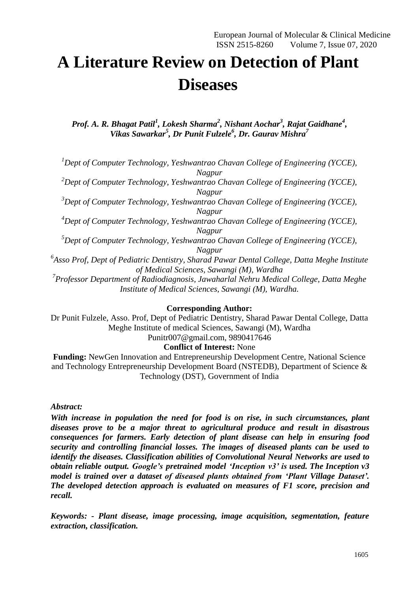# **A Literature Review on Detection of Plant Diseases**

Prof. A. R. Bhagat Patil<sup>1</sup>, Lokesh Sharma<sup>2</sup>, Nishant Aochar<sup>3</sup>, Rajat Gaidhane<sup>4</sup>, *Vikas Sawarkar<sup>5</sup> , Dr Punit Fulzele<sup>6</sup> , Dr. Gaurav Mishra<sup>7</sup>*

*<sup>1</sup>Dept of Computer Technology, Yeshwantrao Chavan College of Engineering (YCCE), Nagpur <sup>2</sup>Dept of Computer Technology, Yeshwantrao Chavan College of Engineering (YCCE), Nagpur <sup>3</sup>Dept of Computer Technology, Yeshwantrao Chavan College of Engineering (YCCE), Nagpur <sup>4</sup>Dept of Computer Technology, Yeshwantrao Chavan College of Engineering (YCCE), Nagpur <sup>5</sup>Dept of Computer Technology, Yeshwantrao Chavan College of Engineering (YCCE), Nagpur 6 Asso Prof, Dept of Pediatric Dentistry, Sharad Pawar Dental College, Datta Meghe Institute of Medical Sciences, Sawangi (M), Wardha 7 Professor Department of Radiodiagnosis, Jawaharlal Nehru Medical College, Datta Meghe Institute of Medical Sciences, Sawangi (M), Wardha.*

#### **Corresponding Author:**

Dr Punit Fulzele, Asso. Prof, Dept of Pediatric Dentistry, Sharad Pawar Dental College, Datta Meghe Institute of medical Sciences, Sawangi (M), Wardha Punitr007@gmail.com, 9890417646

#### **Conflict of Interest:** None

**Funding:** NewGen Innovation and Entrepreneurship Development Centre, National Science and Technology Entrepreneurship Development Board (NSTEDB), Department of Science & Technology (DST), Government of India

*Abstract:*

*With increase in population the need for food is on rise, in such circumstances, plant diseases prove to be a major threat to agricultural produce and result in disastrous consequences for farmers. Early detection of plant disease can help in ensuring food security and controlling financial losses. The images of diseased plants can be used to identify the diseases. Classification abilities of Convolutional Neural Networks are used to obtain reliable output. Google's pretrained model 'Inception v3' is used. The Inception v3 model is trained over a dataset of diseased plants obtained from 'Plant Village Dataset'. The developed detection approach is evaluated on measures of F1 score, precision and recall.*

*Keywords: - Plant disease, image processing, image acquisition, segmentation, feature extraction, classification.*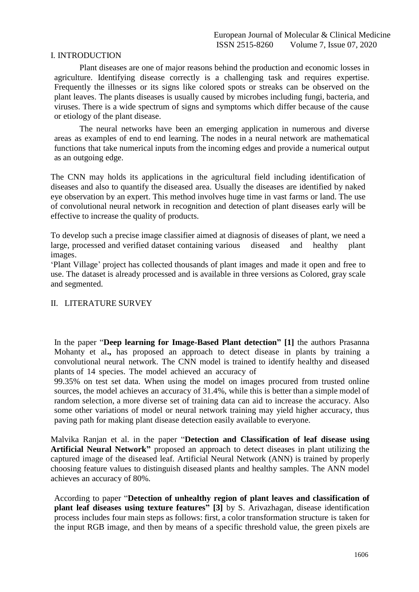#### I. INTRODUCTION

Plant diseases are one of major reasons behind the production and economic losses in agriculture. Identifying disease correctly is a challenging task and requires expertise. Frequently the illnesses or its signs like colored spots or streaks can be observed on the plant leaves. The plants diseases is usually caused by microbes including fungi, bacteria, and viruses. There is a wide spectrum of signs and symptoms which differ because of the cause or etiology of the plant disease.

The neural networks have been an emerging application in numerous and diverse areas as examples of end to end learning. The nodes in a neural network are mathematical functions that take numerical inputs from the incoming edges and provide a numerical output as an outgoing edge.

The CNN may holds its applications in the agricultural field including identification of diseases and also to quantify the diseased area. Usually the diseases are identified by naked eye observation by an expert. This method involves huge time in vast farms or land. The use of convolutional neural network in recognition and detection of plant diseases early will be effective to increase the quality of products.

To develop such a precise image classifier aimed at diagnosis of diseases of plant, we need a large, processed and verified dataset containing various diseased and healthy plant images.

‗Plant Village' project has collected thousands of plant images and made it open and free to use. The dataset is already processed and is available in three versions as Colored, gray scale and segmented.

## II. LITERATURE SURVEY

In the paper "Deep learning for Image-Based Plant detection" [1] the authors Prasanna Mohanty et al**.,** has proposed an approach to detect disease in plants by training a convolutional neural network. The CNN model is trained to identify healthy and diseased plants of 14 species. The model achieved an accuracy of

99.35% on test set data. When using the model on images procured from trusted online sources, the model achieves an accuracy of 31.4%, while this is better than a simple model of random selection, a more diverse set of training data can aid to increase the accuracy. Also some other variations of model or neural network training may yield higher accuracy, thus paving path for making plant disease detection easily available to everyone.

Malvika Ranjan et al. in the paper ―**Detection and Classification of leaf disease using Artificial Neural Network"** proposed an approach to detect diseases in plant utilizing the captured image of the diseased leaf. Artificial Neural Network (ANN) is trained by properly choosing feature values to distinguish diseased plants and healthy samples. The ANN model achieves an accuracy of 80%.

According to paper ―**Detection of unhealthy region of plant leaves and classification of plant leaf diseases using texture features" [3]** by S. Arivazhagan, disease identification process includes four main steps as follows: first, a color transformation structure is taken for the input RGB image, and then by means of a specific threshold value, the green pixels are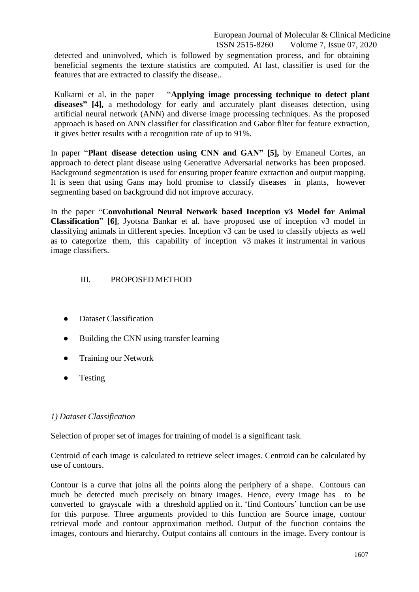detected and uninvolved, which is followed by segmentation process, and for obtaining beneficial segments the texture statistics are computed. At last, classifier is used for the features that are extracted to classify the disease..

Kulkarni et al. in the paper ―**Applying image processing technique to detect plant diseases" [4],** a methodology for early and accurately plant diseases detection, using artificial neural network (ANN) and diverse image processing techniques. As the proposed approach is based on ANN classifier for classification and Gabor filter for feature extraction, it gives better results with a recognition rate of up to 91%.

In paper "Plant disease detection using CNN and GAN" [5], by Emaneul Cortes, an approach to detect plant disease using Generative Adversarial networks has been proposed. Background segmentation is used for ensuring proper feature extraction and output mapping. It is seen that using Gans may hold promise to classify diseases in plants, however segmenting based on background did not improve accuracy.

In the paper ―**Convolutional Neural Network based Inception v3 Model for Animal Classification**" [6], Jyotsna Bankar et al. have proposed use of inception v3 model in classifying animals in different species. Inception v3 can be used to classify objects as well as to categorize them, this capability of inception v3 makes it instrumental in various image classifiers.

# III. PROPOSED METHOD

- Dataset Classification
- Building the CNN using transfer learning
- Training our Network
- Testing

## *1) Dataset Classification*

Selection of proper set of images for training of model is a significant task.

Centroid of each image is calculated to retrieve select images. Centroid can be calculated by use of contours.

Contour is a curve that joins all the points along the periphery of a shape. Contours can much be detected much precisely on binary images. Hence, every image has to be converted to grayscale with a threshold applied on it. 'find Contours' function can be use for this purpose. Three arguments provided to this function are Source image, contour retrieval mode and contour approximation method. Output of the function contains the images, contours and hierarchy. Output contains all contours in the image. Every contour is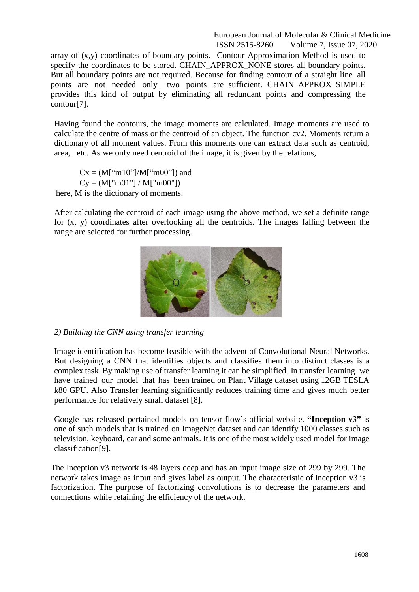array of (x,y) coordinates of boundary points. Contour Approximation Method is used to specify the coordinates to be stored. CHAIN\_APPROX\_NONE stores all boundary points. But all boundary points are not required. Because for finding contour of a straight line all points are not needed only two points are sufficient. CHAIN\_APPROX\_SIMPLE provides this kind of output by eliminating all redundant points and compressing the contour[7].

Having found the contours, the image moments are calculated. Image moments are used to calculate the centre of mass or the centroid of an object. The function cv2. Moments return a dictionary of all moment values. From this moments one can extract data such as centroid, area, etc. As we only need centroid of the image, it is given by the relations,

 $Cx = (M[$ "m10"]/ $M[$ "m00"]) and  $Cy = (M['m01"] / M['m00"])$ here, M is the dictionary of moments.

After calculating the centroid of each image using the above method, we set a definite range for (x, y) coordinates after overlooking all the centroids. The images falling between the range are selected for further processing.



*2) Building the CNN using transfer learning*

Image identification has become feasible with the advent of Convolutional Neural Networks. But designing a CNN that identifies objects and classifies them into distinct classes is a complex task. By making use of transfer learning it can be simplified. In transfer learning we have trained our model that has been trained on Plant Village dataset using 12GB TESLA k80 GPU. Also Transfer learning significantly reduces training time and gives much better performance for relatively small dataset [8].

Google has released pertained models on tensor flow's official website. **"Inception v3"** is one of such models that is trained on ImageNet dataset and can identify 1000 classes such as television, keyboard, car and some animals. It is one of the most widely used model for image classification[9].

The Inception v3 network is 48 layers deep and has an input image size of 299 by 299. The network takes image as input and gives label as output. The characteristic of Inception v3 is factorization. The purpose of factorizing convolutions is to decrease the parameters and connections while retaining the efficiency of the network.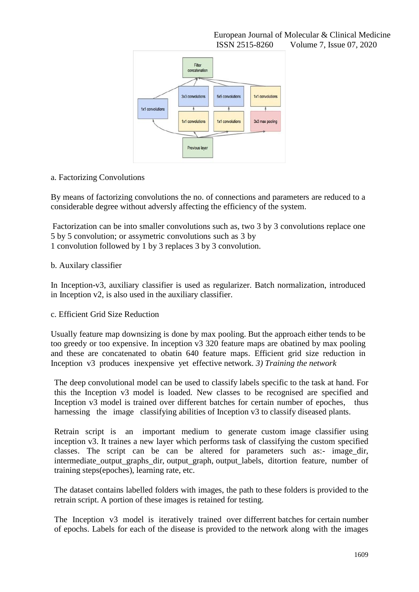

## a. Factorizing Convolutions

By means of factorizing convolutions the no. of connections and parameters are reduced to a considerable degree without adversly affecting the efficiency of the system.

Factorization can be into smaller convolutions such as, two 3 by 3 convolutions replace one 5 by 5 convolution; or assymetric convolutions such as 3 by 1 convolution followed by 1 by 3 replaces 3 by 3 convolution.

## b. Auxilary classifier

In Inception-v3, auxiliary classifier is used as regularizer. Batch normalization, introduced in Inception v2, is also used in the auxiliary classifier.

## c. Efficient Grid Size Reduction

Usually feature map downsizing is done by max pooling. But the approach either tends to be too greedy or too expensive. In inception v3 320 feature maps are obatined by max pooling and these are concatenated to obatin 640 feature maps. Efficient grid size reduction in Inception v3 produces inexpensive yet effective network. *3) Training the network*

The deep convolutional model can be used to classify labels specific to the task at hand. For this the Inception v3 model is loaded. New classes to be recognised are specified and Inception v3 model is trained over different batches for certain number of epoches, thus harnessing the image classifying abilities of Inception v3 to classify diseased plants.

Retrain script is an important medium to generate custom image classifier using inception v3. It traines a new layer which performs task of classifying the custom specified classes. The script can be can be altered for parameters such as:- image dir, intermediate\_output\_graphs\_dir, output\_graph, output\_labels, ditortion feature, number of training steps(epoches), learning rate, etc.

The dataset contains labelled folders with images, the path to these folders is provided to the retrain script. A portion of these images is retained for testing.

The Inception v3 model is iteratively trained over differrent batches for certain number of epochs. Labels for each of the disease is provided to the network along with the images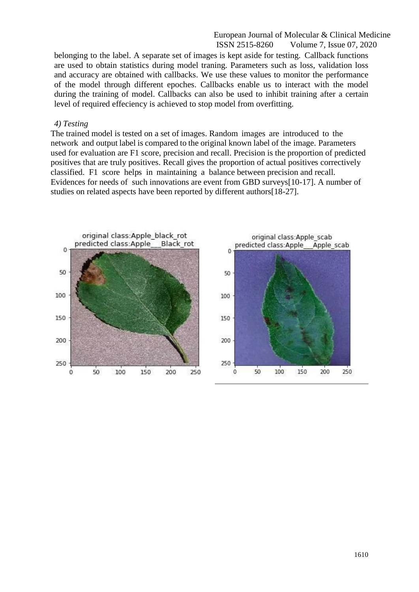belonging to the label. A separate set of images is kept aside for testing. Callback functions are used to obtain statistics during model traning. Parameters such as loss, validation loss and accuracy are obtained with callbacks. We use these values to monitor the performance of the model through different epoches. Callbacks enable us to interact with the model during the training of model. Callbacks can also be used to inhibit training after a certain level of required effeciency is achieved to stop model from overfitting.

#### *4) Testing*

The trained model is tested on a set of images. Random images are introduced to the network and output label is compared to the original known label of the image. Parameters used for evaluation are F1 score, precision and recall. Precision is the proportion of predicted positives that are truly positives. Recall gives the proportion of actual positives correctively classified. F1 score helps in maintaining a balance between precision and recall. Evidences for needs of such innovations are event from GBD surveys[10-17]. A number of studies on related aspects have been reported by different authors[18-27].



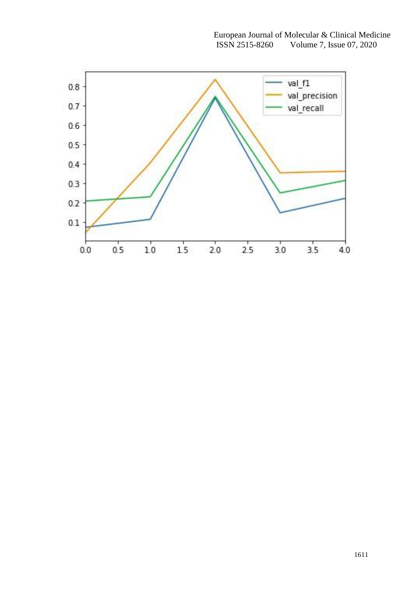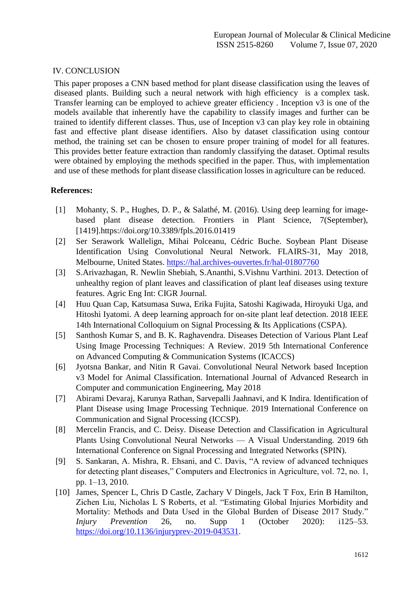## IV. CONCLUSION

This paper proposes a CNN based method for plant disease classification using the leaves of diseased plants. Building such a neural network with high efficiency is a complex task. Transfer learning can be employed to achieve greater efficiency . Inception v3 is one of the models available that inherently have the capability to classify images and further can be trained to identify different classes. Thus, use of Inception v3 can play key role in obtaining fast and effective plant disease identifiers. Also by dataset classification using contour method, the training set can be chosen to ensure proper training of model for all features. This provides better feature extraction than randomly classifying the dataset. Optimal results were obtained by employing the methods specified in the paper. Thus, with implementation and use of these methods for plant disease classification losses in agriculture can be reduced.

# **References:**

- [1] Mohanty, S. P., Hughes, D. P., & Salathé, M. (2016). Using deep learning for imagebased plant disease detection. Frontiers in Plant Science, 7(September), [1419].https://doi.org/10.3389/fpls.2016.01419
- [2] Ser Serawork Wallelign, Mihai Polceanu, Cédric Buche. Soybean Plant Disease Identification Using Convolutional Neural Network. FLAIRS-31, May 2018, Melbourne, United States.<https://hal.archives-ouvertes.fr/hal-01807760>
- [3] S.Arivazhagan, R. Newlin Shebiah, S.Ananthi, S.Vishnu Varthini. 2013. Detection of unhealthy region of plant leaves and classification of plant leaf diseases using texture features. Agric Eng Int: CIGR Journal.
- [4] Huu Quan Cap, Katsumasa Suwa, Erika Fujita, Satoshi Kagiwada, Hiroyuki Uga, and Hitoshi Iyatomi. A deep learning approach for on-site plant leaf detection. 2018 IEEE 14th International Colloquium on Signal Processing & Its Applications (CSPA).
- [5] Santhosh Kumar S, and B. K. Raghavendra. Diseases Detection of Various Plant Leaf Using Image Processing Techniques: A Review. 2019 5th International Conference on Advanced Computing & Communication Systems (ICACCS)
- [6] Jyotsna Bankar, and Nitin R Gavai. Convolutional Neural Network based Inception v3 Model for Animal Classification. International Journal of Advanced Research in Computer and communication Engineering, May 2018
- [7] Abirami Devaraj, Karunya Rathan, Sarvepalli Jaahnavi, and K Indira. Identification of Plant Disease using Image Processing Technique. 2019 International Conference on Communication and Signal Processing (ICCSP).
- [8] Mercelin Francis, and C. Deisy. Disease Detection and Classification in Agricultural Plants Using Convolutional Neural Networks — A Visual Understanding. 2019 6th International Conference on Signal Processing and Integrated Networks (SPIN).
- [9] S. Sankaran, A. Mishra, R. Ehsani, and C. Davis, "A review of advanced techniques for detecting plant diseases," Computers and Electronics in Agriculture, vol. 72, no. 1, pp. 1–13, 2010.
- [10] James, Spencer L, Chris D Castle, Zachary V Dingels, Jack T Fox, Erin B Hamilton, Zichen Liu, Nicholas L S Roberts, et al. "Estimating Global Injuries Morbidity and Mortality: Methods and Data Used in the Global Burden of Disease 2017 Study." *Injury Prevention* 26, no. Supp 1 (October 2020): i125–53. [https://doi.org/10.1136/injuryprev-2019-043531.](https://doi.org/10.1136/injuryprev-2019-043531)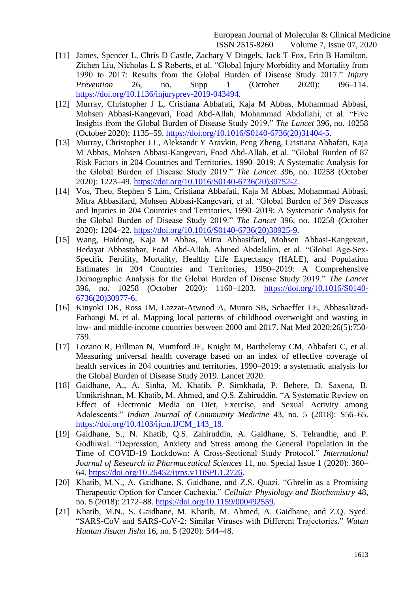- [11] James, Spencer L, Chris D Castle, Zachary V Dingels, Jack T Fox, Erin B Hamilton, Zichen Liu, Nicholas L S Roberts, et al. "Global Injury Morbidity and Mortality from 1990 to 2017: Results from the Global Burden of Disease Study 2017." *Injury Prevention* 26, no. Supp 1 (October 2020): i96–114. [https://doi.org/10.1136/injuryprev-2019-043494.](https://doi.org/10.1136/injuryprev-2019-043494)
- [12] Murray, Christopher J L, Cristiana Abbafati, Kaja M Abbas, Mohammad Abbasi, Mohsen Abbasi-Kangevari, Foad Abd-Allah, Mohammad Abdollahi, et al. "Five Insights from the Global Burden of Disease Study 2019.‖ *The Lancet* 396, no. 10258 (October 2020): 1135–59. [https://doi.org/10.1016/S0140-6736\(20\)31404-5.](https://doi.org/10.1016/S0140-6736(20)31404-5)
- [13] Murray, Christopher J L, Aleksandr Y Aravkin, Peng Zheng, Cristiana Abbafati, Kaja M Abbas, Mohsen Abbasi-Kangevari, Foad Abd-Allah, et al. "Global Burden of 87 Risk Factors in 204 Countries and Territories, 1990–2019: A Systematic Analysis for the Global Burden of Disease Study 2019." The Lancet 396, no. 10258 (October 2020): 1223–49. [https://doi.org/10.1016/S0140-6736\(20\)30752-2.](https://doi.org/10.1016/S0140-6736(20)30752-2)
- [14] Vos, Theo, Stephen S Lim, Cristiana Abbafati, Kaja M Abbas, Mohammad Abbasi, Mitra Abbasifard, Mohsen Abbasi-Kangevari, et al. "Global Burden of 369 Diseases and Injuries in 204 Countries and Territories, 1990–2019: A Systematic Analysis for the Global Burden of Disease Study 2019." The Lancet 396, no. 10258 (October 2020): 1204–22. [https://doi.org/10.1016/S0140-6736\(20\)30925-9.](https://doi.org/10.1016/S0140-6736(20)30925-9)
- [15] Wang, Haidong, Kaja M Abbas, Mitra Abbasifard, Mohsen Abbasi-Kangevari, Hedayat Abbastabar, Foad Abd-Allah, Ahmed Abdelalim, et al. "Global Age-Sex-Specific Fertility, Mortality, Healthy Life Expectancy (HALE), and Population Estimates in 204 Countries and Territories, 1950–2019: A Comprehensive Demographic Analysis for the Global Burden of Disease Study 2019." The Lancet 396, no. 10258 (October 2020): 1160–1203. [https://doi.org/10.1016/S0140-](https://doi.org/10.1016/S0140-6736(20)30977-6) [6736\(20\)30977-6.](https://doi.org/10.1016/S0140-6736(20)30977-6)
- [16] Kinyoki DK, Ross JM, Lazzar-Atwood A, Munro SB, Schaeffer LE, Abbasalizad-Farhangi M, et al. Mapping local patterns of childhood overweight and wasting in low- and middle-income countries between 2000 and 2017. Nat Med 2020;26(5):750- 759.
- [17] Lozano R, Fullman N, Mumford JE, Knight M, Barthelemy CM, Abbafati C, et al. Measuring universal health coverage based on an index of effective coverage of health services in 204 countries and territories, 1990–2019: a systematic analysis for the Global Burden of Disease Study 2019. Lancet 2020.
- [18] Gaidhane, A., A. Sinha, M. Khatib, P. Simkhada, P. Behere, D. Saxena, B. Unnikrishnan, M. Khatib, M. Ahmed, and Q.S. Zahiruddin. "A Systematic Review on Effect of Electronic Media on Diet, Exercise, and Sexual Activity among Adolescents.‖ *Indian Journal of Community Medicine* 43, no. 5 (2018): S56–65. [https://doi.org/10.4103/ijcm.IJCM\\_143\\_18.](https://doi.org/10.4103/ijcm.IJCM_143_18)
- [19] Gaidhane, S., N. Khatib, Q.S. Zahiruddin, A. Gaidhane, S. Telrandhe, and P. Godhiwal. "Depression, Anxiety and Stress among the General Population in the Time of COVID-19 Lockdown: A Cross-Sectional Study Protocol." *International Journal of Research in Pharmaceutical Sciences* 11, no. Special Issue 1 (2020): 360– 64. [https://doi.org/10.26452/ijrps.v11iSPL1.2726.](https://doi.org/10.26452/ijrps.v11iSPL1.2726)
- [20] Khatib, M.N., A. Gaidhane, S. Gaidhane, and Z.S. Quazi. "Ghrelin as a Promising Therapeutic Option for Cancer Cachexia.‖ *Cellular Physiology and Biochemistry* 48, no. 5 (2018): 2172–88. [https://doi.org/10.1159/000492559.](https://doi.org/10.1159/000492559)
- [21] Khatib, M.N., S. Gaidhane, M. Khatib, M. Ahmed, A. Gaidhane, and Z.Q. Syed. "SARS-CoV and SARS-CoV-2: Similar Viruses with Different Trajectories." Wutan *Huatan Jisuan Jishu* 16, no. 5 (2020): 544–48.